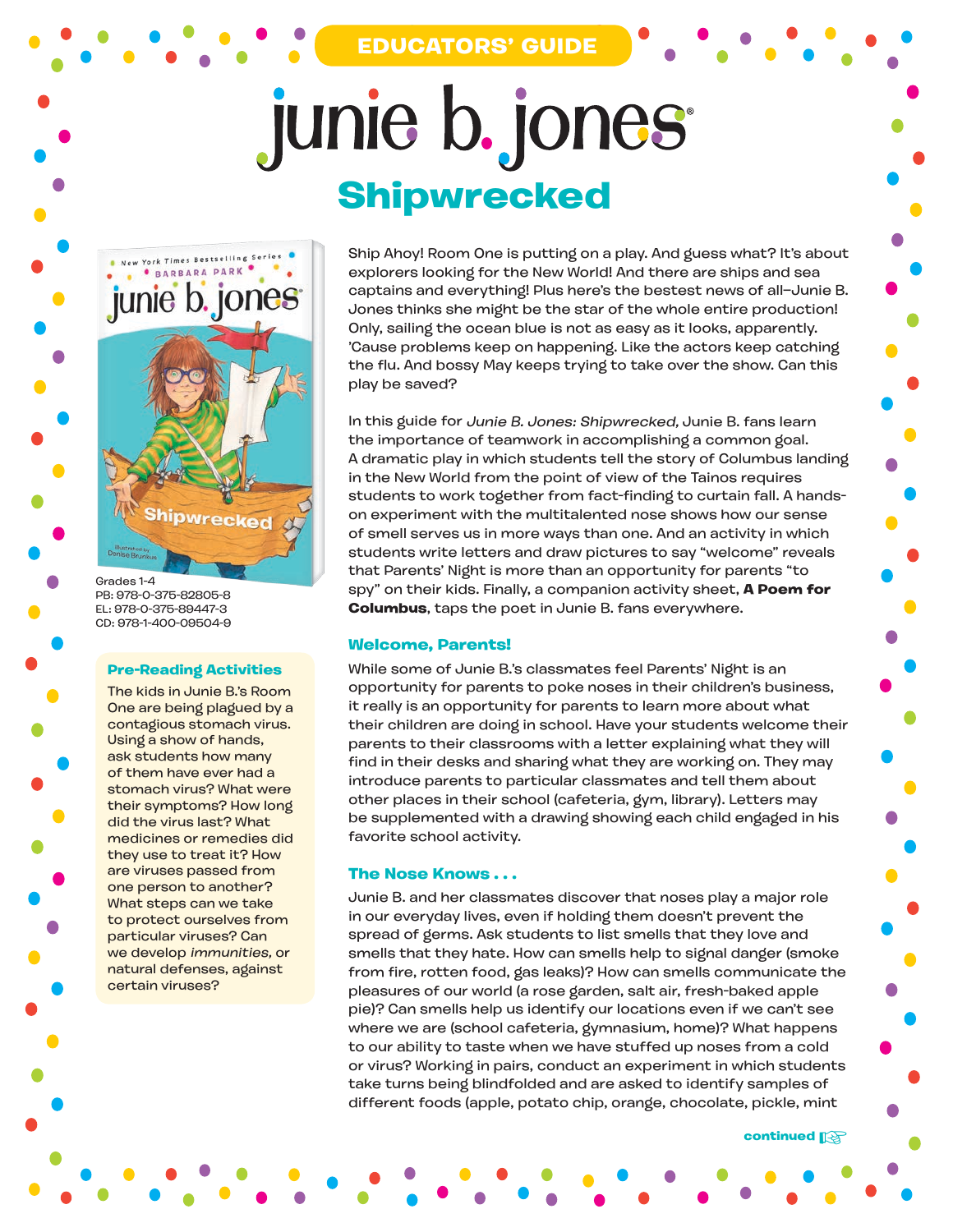## **EDUCATORS' GUIDE**

# junie b. jones **Shipwrecked**



Grades 1-4 PB: 978-0-375-82805-8 EL: 978-0-375-89447-3 CD: 978-1-400-09504-9

#### **Pre-Reading Activities**

The kids in Junie B.'s Room One are being plagued by a contagious stomach virus. Using a show of hands, ask students how many of them have ever had a stomach virus? What were their symptoms? How long did the virus last? What medicines or remedies did they use to treat it? How are viruses passed from one person to another? What steps can we take to protect ourselves from particular viruses? Can we develop immunities, or natural defenses, against certain viruses?

Ship Ahoy! Room One is putting on a play. And guess what? It's about explorers looking for the New World! And there are ships and sea captains and everything! Plus here's the bestest news of all—Junie B. Jones thinks she might be the star of the whole entire production! Only, sailing the ocean blue is not as easy as it looks, apparently. 'Cause problems keep on happening. Like the actors keep catching the flu. And bossy May keeps trying to take over the show. Can this play be saved?

In this guide for Junie B. Jones: Shipwrecked, Junie B. fans learn the importance of teamwork in accomplishing a common goal. A dramatic play in which students tell the story of Columbus landing in the New World from the point of view of the Tainos requires students to work together from fact-finding to curtain fall. A handson experiment with the multitalented nose shows how our sense of smell serves us in more ways than one. And an activity in which students write letters and draw pictures to say "welcome" reveals that Parents' Night is more than an opportunity for parents "to spy" on their kids. Finally, a companion activity sheet, **A Poem for Columbus**, taps the poet in Junie B. fans everywhere.

#### **Welcome, Parents!**

While some of Junie B.'s classmates feel Parents' Night is an opportunity for parents to poke noses in their children's business, it really is an opportunity for parents to learn more about what their children are doing in school. Have your students welcome their parents to their classrooms with a letter explaining what they will find in their desks and sharing what they are working on. They may introduce parents to particular classmates and tell them about other places in their school (cafeteria, gym, library). Letters may be supplemented with a drawing showing each child engaged in his favorite school activity.

#### **The Nose Knows . . .**

Junie B. and her classmates discover that noses play a major role in our everyday lives, even if holding them doesn't prevent the spread of germs. Ask students to list smells that they love and smells that they hate. How can smells help to signal danger (smoke from fire, rotten food, gas leaks)? How can smells communicate the pleasures of our world (a rose garden, salt air, fresh-baked apple pie)? Can smells help us identify our locations even if we can't see where we are (school cafeteria, gymnasium, home)? What happens to our ability to taste when we have stuffed up noses from a cold or virus? Working in pairs, conduct an experiment in which students take turns being blindfolded and are asked to identify samples of different foods (apple, potato chip, orange, chocolate, pickle, mint

**continued**